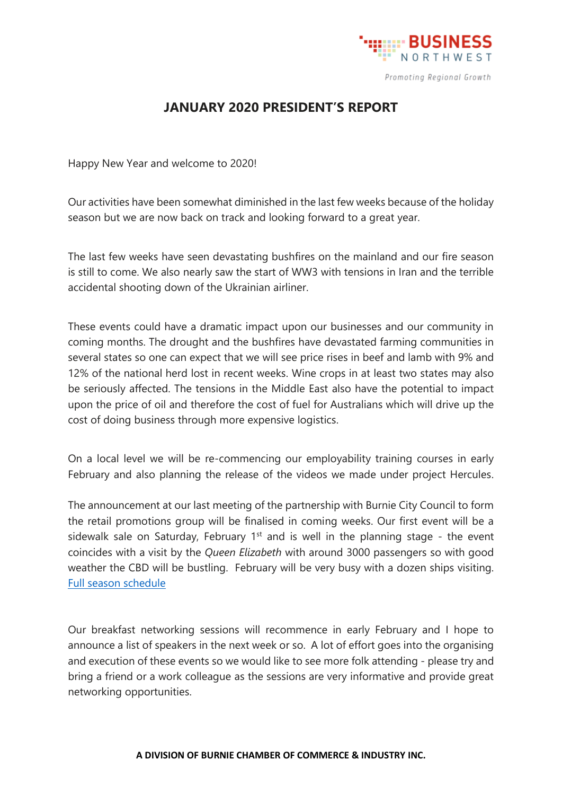

## **JANUARY 2020 PRESIDENT'S REPORT**

Happy New Year and welcome to 2020!

Our activities have been somewhat diminished in the last few weeks because of the holiday season but we are now back on track and looking forward to a great year.

The last few weeks have seen devastating bushfires on the mainland and our fire season is still to come. We also nearly saw the start of WW3 with tensions in Iran and the terrible accidental shooting down of the Ukrainian airliner.

These events could have a dramatic impact upon our businesses and our community in coming months. The drought and the bushfires have devastated farming communities in several states so one can expect that we will see price rises in beef and lamb with 9% and 12% of the national herd lost in recent weeks. Wine crops in at least two states may also be seriously affected. The tensions in the Middle East also have the potential to impact upon the price of oil and therefore the cost of fuel for Australians which will drive up the cost of doing business through more expensive logistics.

On a local level we will be re-commencing our employability training courses in early February and also planning the release of the videos we made under project Hercules.

The announcement at our last meeting of the partnership with Burnie City Council to form the retail promotions group will be finalised in coming weeks. Our first event will be a sidewalk sale on Saturday, February  $1<sup>st</sup>$  and is well in the planning stage - the event coincides with a visit by the *Queen Elizabeth* with around 3000 passengers so with good weather the CBD will be bustling. February will be very busy with a dozen ships visiting. [Full season schedule](https://www.burnie.net/files/assets/public/hptrim/recreation-and-cultural-services-procedures-corporate-documents/burnie-cruise-ship-visit-dates-2019-2020-inf-ced-vic-001.pdf)

Our breakfast networking sessions will recommence in early February and I hope to announce a list of speakers in the next week or so. A lot of effort goes into the organising and execution of these events so we would like to see more folk attending - please try and bring a friend or a work colleague as the sessions are very informative and provide great networking opportunities.